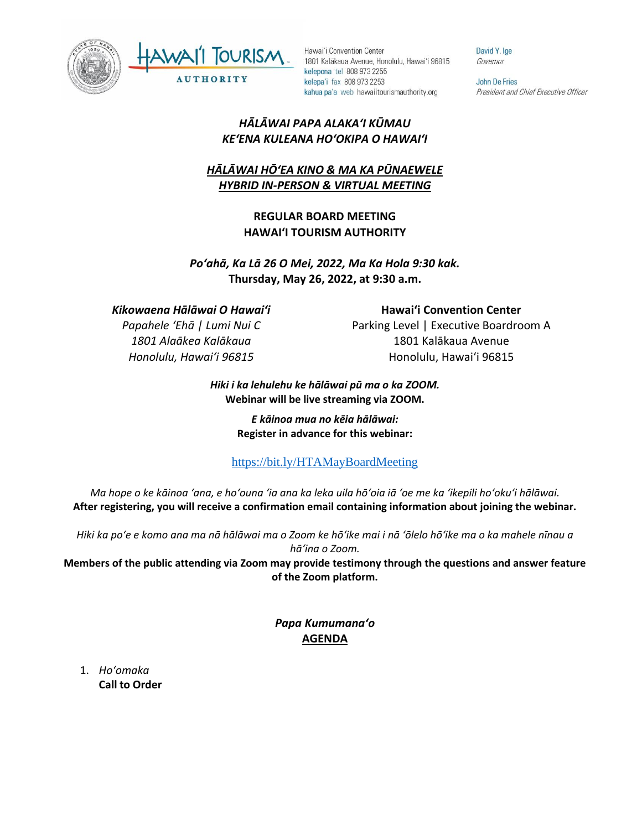



David Y. Ige Governor

John De Fries President and Chief Executive Officer

## *HĀLĀWAI PAPA ALAKAʻI KŪMAU KEʻENA KULEANA HOʻOKIPA O HAWAIʻI*

# *HĀLĀWAI HŌʻEA KINO & MA KA PŪNAEWELE HYBRID IN-PERSON & VIRTUAL MEETING*

## **REGULAR BOARD MEETING HAWAI'I TOURISM AUTHORITY**

# *Poʻahā, Ka Lā 26 O Mei, 2022, Ma Ka Hola 9:30 kak.* **Thursday, May 26, 2022, at 9:30 a.m.**

## *Kikowaena Hālāwai O Hawaiʻi*

*Papahele ʻEhā | Lumi Nui C 1801 Alaākea Kalākaua Honolulu, Hawaiʻi 96815*

**Hawaiʻi Convention Center** Parking Level | Executive Boardroom A 1801 Kalākaua Avenue Honolulu, Hawaiʻi 96815

#### *Hiki i ka lehulehu ke hālāwai pū ma o ka ZOOM.* **Webinar will be live streaming via ZOOM.**

*E kāinoa mua no kēia hālāwai:* **Register in advance for this webinar:**

# <https://bit.ly/HTAMayBoardMeeting>

*Ma hope o ke kāinoa ʻana, e hoʻouna ʻia ana ka leka uila hōʻoia iā ʻoe me ka ʻikepili hoʻokuʻi hālāwai.* **After registering, you will receive a confirmation email containing information about joining the webinar.** 

*Hiki ka poʻe e komo ana ma nā hālāwai ma o Zoom ke hōʻike mai i nā ʻōlelo hōʻike ma o ka mahele nīnau a hāʻina o Zoom.*

**Members of the public attending via Zoom may provide testimony through the questions and answer feature of the Zoom platform.**

> *Papa Kumumanaʻo* **AGENDA**

1. *Ho'omaka* **Call to Order**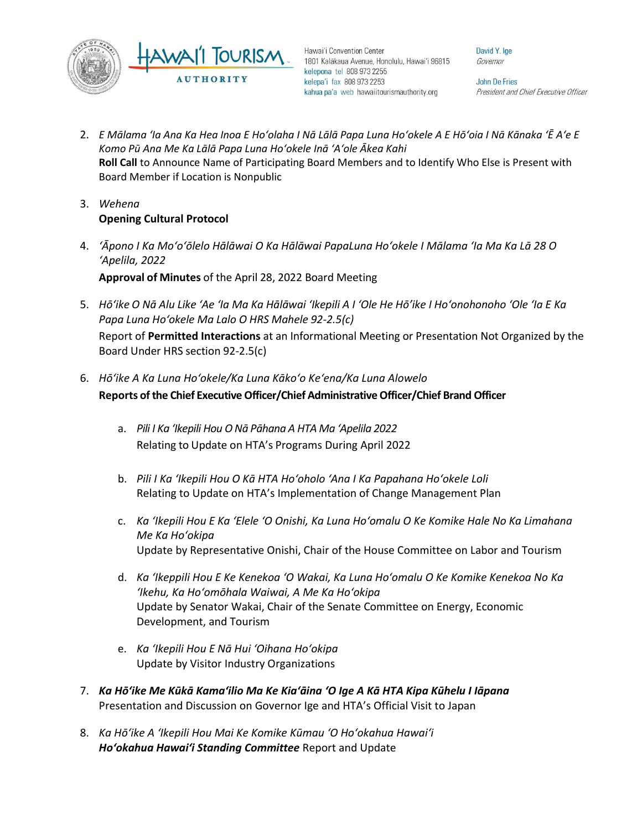

David Y. Ige Governor

John De Fries President and Chief Executive Officer

- 2. *E Mālama ʻIa Ana Ka Hea Inoa E Hoʻolaha I Nā Lālā Papa Luna Hoʻokele A E Hōʻoia I Nā Kānaka ʻĒ Aʻe E Komo Pū Ana Me Ka Lālā Papa Luna Hoʻokele Inā ʻAʻole Ākea Kahi* **Roll Call** to Announce Name of Participating Board Members and to Identify Who Else is Present with Board Member if Location is Nonpublic
- 3. *Wehena* **Opening Cultural Protocol**
- 4. *ʻĀpono I Ka Moʻoʻōlelo Hālāwai O Ka Hālāwai PapaLuna Hoʻokele I Mālama ʻIa Ma Ka Lā 28 O ʻApelila, 2022* **Approval of Minutes** of the April 28, 2022 Board Meeting
- 5. *Hō'ike O Nā Alu Like ʻAe ʻIa Ma Ka Hālāwai ʻIkepili A I ʻOle He Hō'ike I Hoʻonohonoho ʻOle ʻIa E Ka Papa Luna Hoʻokele Ma Lalo O HRS Mahele 92-2.5(c)*

Report of **Permitted Interactions** at an Informational Meeting or Presentation Not Organized by the Board Under HRS section 92-2.5(c)

- 6. *Hōʻike A Ka Luna Hoʻokele/Ka Luna Kākoʻo Keʻena/Ka Luna Alowelo* **Reports of the Chief Executive Officer/Chief Administrative Officer/Chief Brand Officer**
	- a. *Pili I Ka ʻIkepili Hou O Nā Pāhana A HTA Ma ʻApelila 2022* Relating to Update on HTA's Programs During April 2022
	- b. *Pili I Ka ʻIkepili Hou O Kā HTA Hoʻoholo ʻAna I Ka Papahana Hoʻokele Loli* Relating to Update on HTA's Implementation of Change Management Plan
	- c. *Ka ʻIkepili Hou E Ka ʻElele ʻO Onishi, Ka Luna Hoʻomalu O Ke Komike Hale No Ka Limahana Me Ka Hoʻokipa* Update by Representative Onishi, Chair of the House Committee on Labor and Tourism
	- d. *Ka ʻIkeppili Hou E Ke Kenekoa ʻO Wakai, Ka Luna Hoʻomalu O Ke Komike Kenekoa No Ka ʻIkehu, Ka Hoʻomōhala Waiwai, A Me Ka Hoʻokipa* Update by Senator Wakai, Chair of the Senate Committee on Energy, Economic Development, and Tourism
	- e. *Ka ʻIkepili Hou E Nā Hui ʻOihana Hoʻokipa* Update by Visitor Industry Organizations
- 7. *Ka Hōʻike Me Kūkā Kamaʻilio Ma Ke Kiaʻāina ʻO Ige A Kā HTA Kipa Kūhelu I Iāpana* Presentation and Discussion on Governor Ige and HTA's Official Visit to Japan
- 8. *Ka Hōʻike A ʻIkepili Hou Mai Ke Komike Kūmau ʻO Hoʻokahua Hawaiʻi Hoʻokahua Hawai'i Standing Committee* Report and Update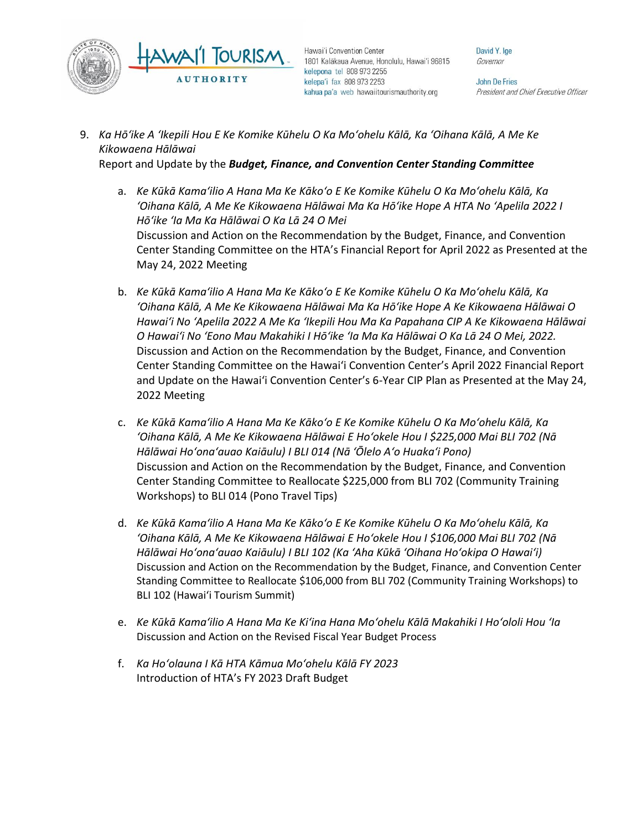

David Y. Ige Governor

John De Fries President and Chief Executive Officer

9. *Ka Hōʻike A ʻIkepili Hou E Ke Komike Kūhelu O Ka Moʻohelu Kālā, Ka ʻOihana Kālā, A Me Ke Kikowaena Hālāwai*

Report and Update by the *Budget, Finance, and Convention Center Standing Committee*

- a. *Ke Kūkā Kamaʻilio A Hana Ma Ke Kākoʻo E Ke Komike Kūhelu O Ka Moʻohelu Kālā, Ka ʻOihana Kālā, A Me Ke Kikowaena Hālāwai Ma Ka Hōʻike Hope A HTA No ʻApelila 2022 I Hōʻike ʻIa Ma Ka Hālāwai O Ka Lā 24 O Mei* Discussion and Action on the Recommendation by the Budget, Finance, and Convention Center Standing Committee on the HTA's Financial Report for April 2022 as Presented at the May 24, 2022 Meeting
- b. *Ke Kūkā Kamaʻilio A Hana Ma Ke Kākoʻo E Ke Komike Kūhelu O Ka Moʻohelu Kālā, Ka ʻOihana Kālā, A Me Ke Kikowaena Hālāwai Ma Ka Hōʻike Hope A Ke Kikowaena Hālāwai O Hawaiʻi No ʻApelila 2022 A Me Ka ʻIkepili Hou Ma Ka Papahana CIP A Ke Kikowaena Hālāwai O Hawaiʻi No ʻEono Mau Makahiki I Hōʻike ʻIa Ma Ka Hālāwai O Ka Lā 24 O Mei, 2022.* Discussion and Action on the Recommendation by the Budget, Finance, and Convention Center Standing Committee on the Hawai'i Convention Center's April 2022 Financial Report and Update on the Hawai'i Convention Center's 6-Year CIP Plan as Presented at the May 24, 2022 Meeting
- c. *Ke Kūkā Kamaʻilio A Hana Ma Ke Kākoʻo E Ke Komike Kūhelu O Ka Moʻohelu Kālā, Ka ʻOihana Kālā, A Me Ke Kikowaena Hālāwai E Hoʻokele Hou I \$225,000 Mai BLI 702 (Nā Hālāwai Hoʻonaʻauao Kaiāulu) I BLI 014 (Nā ʻŌlelo Aʻo Huakaʻi Pono)* Discussion and Action on the Recommendation by the Budget, Finance, and Convention Center Standing Committee to Reallocate \$225,000 from BLI 702 (Community Training Workshops) to BLI 014 (Pono Travel Tips)
- d. *Ke Kūkā Kamaʻilio A Hana Ma Ke Kākoʻo E Ke Komike Kūhelu O Ka Moʻohelu Kālā, Ka ʻOihana Kālā, A Me Ke Kikowaena Hālāwai E Hoʻokele Hou I \$106,000 Mai BLI 702 (Nā Hālāwai Hoʻonaʻauao Kaiāulu) I BLI 102 (Ka ʻAha Kūkā ʻOihana Hoʻokipa O Hawaiʻi)* Discussion and Action on the Recommendation by the Budget, Finance, and Convention Center Standing Committee to Reallocate \$106,000 from BLI 702 (Community Training Workshops) to BLI 102 (Hawai'i Tourism Summit)
- e. *Ke Kūkā Kamaʻilio A Hana Ma Ke Kiʻina Hana Moʻohelu Kālā Makahiki I Hoʻololi Hou ʻIa* Discussion and Action on the Revised Fiscal Year Budget Process
- f. *Ka Hoʻolauna I Kā HTA Kāmua Moʻohelu Kālā FY 2023* Introduction of HTA's FY 2023 Draft Budget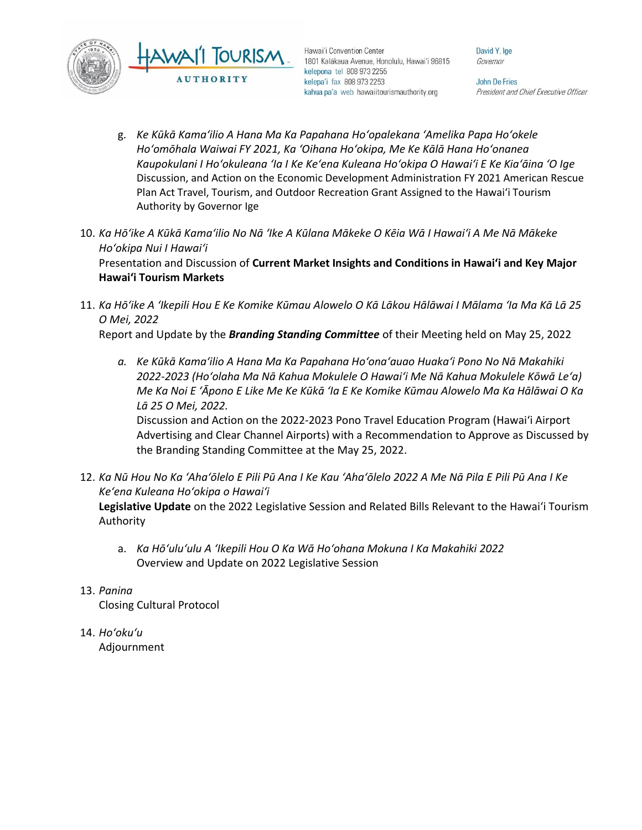

David Y. Ige Governor

John De Fries President and Chief Executive Officer

- g. *Ke Kūkā Kamaʻilio A Hana Ma Ka Papahana Hoʻopalekana ʻAmelika Papa Hoʻokele Hoʻomōhala Waiwai FY 2021, Ka ʻOihana Hoʻokipa, Me Ke Kālā Hana Hoʻonanea Kaupokulani I Hoʻokuleana ʻIa I Ke Keʻena Kuleana Hoʻokipa O Hawaiʻi E Ke Kiaʻāina ʻO Ige* Discussion, and Action on the Economic Development Administration FY 2021 American Rescue Plan Act Travel, Tourism, and Outdoor Recreation Grant Assigned to the Hawai'i Tourism Authority by Governor Ige
- 10. *Ka Hōʻike A Kūkā Kamaʻilio No Nā ʻIke A Kūlana Mākeke O Kēia Wā I Hawaiʻi A Me Nā Mākeke Hoʻokipa Nui I Hawaiʻi* Presentation and Discussion of **Current Market Insights and Conditions in Hawai'i and Key Major Hawai'i Tourism Markets**
- 11. *Ka Hōʻike A ʻIkepili Hou E Ke Komike Kūmau Alowelo O Kā Lākou Hālāwai I Mālama ʻIa Ma Kā Lā 25 O Mei, 2022*

Report and Update by the *Branding Standing Committee* of their Meeting held on May 25, 2022

*a. Ke Kūkā Kamaʻilio A Hana Ma Ka Papahana Hoʻonaʻauao Huakaʻi Pono No Nā Makahiki 2022-2023 (Hoʻolaha Ma Nā Kahua Mokulele O Hawaiʻi Me Nā Kahua Mokulele Kōwā Leʻa) Me Ka Noi E ʻĀpono E Like Me Ke Kūkā ʻIa E Ke Komike Kūmau Alowelo Ma Ka Hālāwai O Ka Lā 25 O Mei, 2022.*

Discussion and Action on the 2022-2023 Pono Travel Education Program (Hawaiʻi Airport Advertising and Clear Channel Airports) with a Recommendation to Approve as Discussed by the Branding Standing Committee at the May 25, 2022.

- 12. *Ka Nū Hou No Ka ʻAhaʻōlelo E Pili Pū Ana I Ke Kau ʻAhaʻōlelo 2022 A Me Nā Pila E Pili Pū Ana I Ke Keʻena Kuleana Hoʻokipa o Hawaiʻi* **Legislative Update** on the 2022 Legislative Session and Related Bills Relevant to the Hawaiʻi Tourism Authority
	- a. *Ka Hōʻuluʻulu A ʻIkepili Hou O Ka Wā Hoʻohana Mokuna I Ka Makahiki 2022* Overview and Update on 2022 Legislative Session
- 13. *Panina*

Closing Cultural Protocol

14. *Ho'oku'u* Adjournment